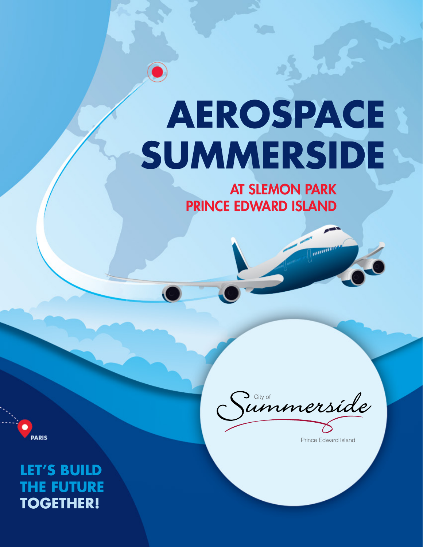# **Aerospace SUMMERSIDE**

at Slemon Park Prince Edward Island

**PARIS** 

Janmerside

Prince Edward Island

**MARTING** 

**Let's Build the Future Together!**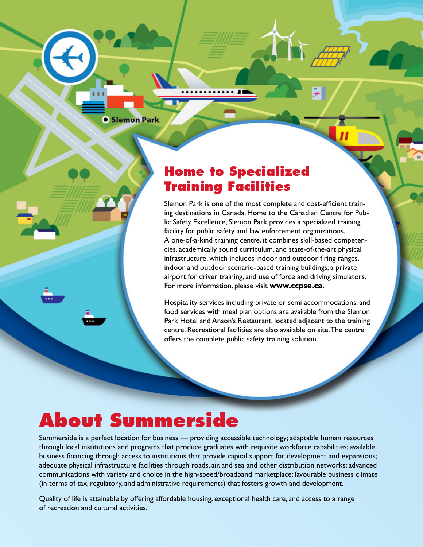#### **• Slemon Park**

#### **Home to Specialized Training Facilities**

Slemon Park is one of the most complete and cost-efficient training destinations in Canada. Home to the Canadian Centre for Public Safety Excellence, Slemon Park provides a specialized training facility for public safety and law enforcement organizations. A one-of-a-kind training centre, it combines skill-based competencies, academically sound curriculum, and state-of-the-art physical infrastructure, which includes indoor and outdoor firing ranges, indoor and outdoor scenario-based training buildings, a private airport for driver training, and use of force and driving simulators. For more information, please visit **www.ccpse.ca.**

Hospitality services including private or semi accommodations, and food services with meal plan options are available from the Slemon Park Hotel and Anson's Restaurant, located adjacent to the training centre. Recreational facilities are also available on site. The centre offers the complete public safety training solution.

## **About Summerside**

Summerside is a perfect location for business — providing accessible technology; adaptable human resources through local institutions and programs that produce graduates with requisite workforce capabilities; available business financing through access to institutions that provide capital support for development and expansions; adequate physical infrastructure facilities through roads, air, and sea and other distribution networks; advanced communications with variety and choice in the high-speed/broadband marketplace; favourable business climate (in terms of tax, regulatory, and administrative requirements) that fosters growth and development.

Quality of life is attainable by offering affordable housing, exceptional health care, and access to a range of recreation and cultural activities.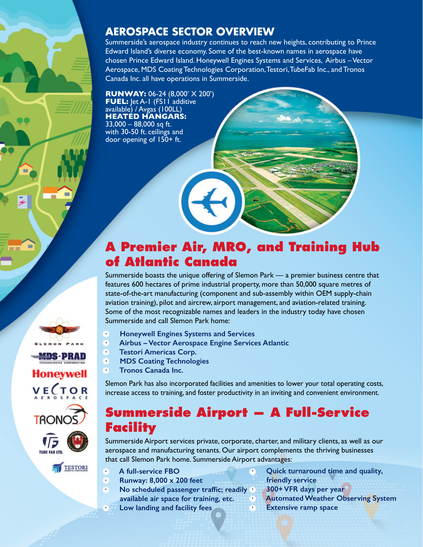#### **Aerospace Sector Overview**

Summerside's aerospace industry continues to reach new heights, contributing to Prince Edward Island's diverse economy. Some of the best-known names in aerospace have chosen Prince Edward Island. Honeywell Engines Systems and Services, Airbus – Vector Aerospace, MDS Coating Technologies Corporation, Testori, TubeFab Inc., and Tronos Canada Inc. all have operations in Summerside.

**Runway:** 06-24 (8,000' X 200') **FUEL:** Jet A-1 (FS11 additive available) / Avgas (100LL) **Heated Hangars:**  33,000 – 88,000 sq ft.

with 30-50 ft. ceilings and door opening of 150+ ft.

### **A Premier Air, MRO, and Training Hub of Atlantic Canada**

Summerside boasts the unique offering of Slemon Park — a premier business centre that features 600 hectares of prime industrial property, more than 50,000 square metres of state-of-the-art manufacturing (component and sub-assembly within OEM supply-chain aviation training), pilot and aircrew, airport management, and aviation-related training. Some of the most recognizable names and leaders in the industry today have chosen Summerside and call Slemon Park home:

- **· Honeywell Engines Systems and Services**
- **· Airbus Vector Aerospace Engine Services Atlantic**
- **· Testori Americas Corp.**
- **· MDS Coating Technologies**
- **· Tronos Canada Inc.**

HDS-PRAD

Honevwell

**VECTOR** 

**TRONO** 

TIME EAR ITH

**TESTORI** 

Slemon Park has also incorporated facilities and amenities to lower your total operating costs, increase access to training, and foster productivity in an inviting and convenient environment.

#### **Summerside Airport — A Full-Service Facility**

Summerside Airport services private, corporate, charter, and military clients, as well as our aerospace and manufacturing tenants. Our airport complements the thriving businesses that call Slemon Park home. Summerside Airport advantages:

**· A full-service FBO**

- **· Runway: 8,000 x 200 feet**
- **· No scheduled passenger traffic; readily available air space for training, etc.**
- **· Low landing and facility fees**
- **· Quick turnaround time and quality, friendly service**
- **· 300+ VFR days per year**
- **· Automated Weather Observing System**
- **· Extensive ramp space**